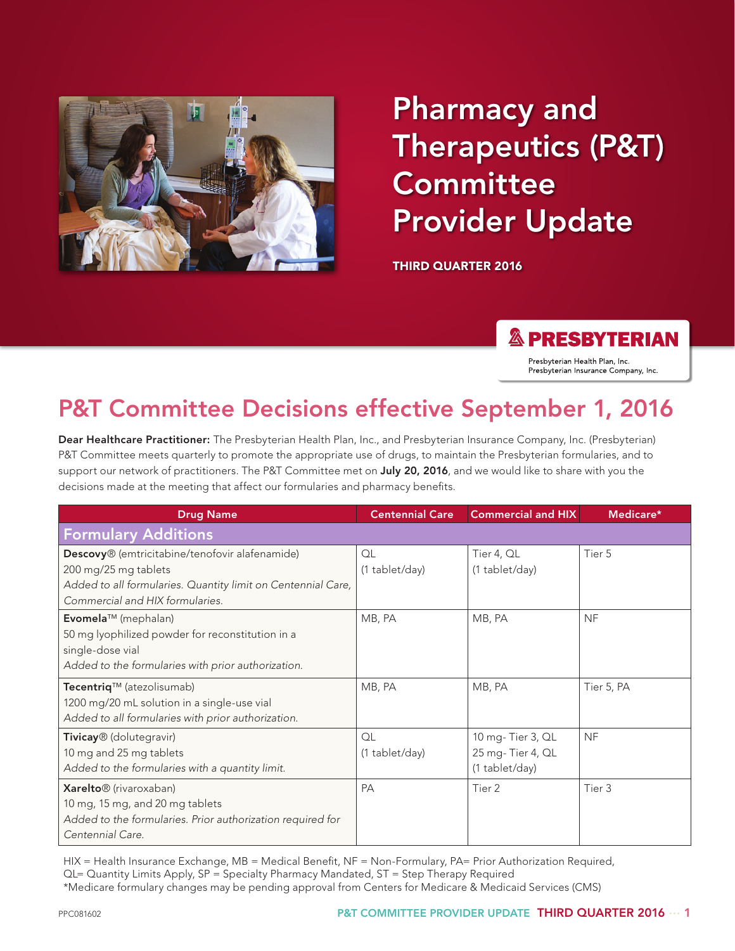

# Pharmacy and Therapeutics (P&T) **Committee** Provider Update

THIRD QUARTER 2016

#### **& PRESBYTERIAN**

Presbyterian Health Plan, Inc. Presbyterian Insurance Company, Inc.

# P&T Committee Decisions effective September 1, 2016

Dear Healthcare Practitioner: The Presbyterian Health Plan, Inc., and Presbyterian Insurance Company, Inc. (Presbyterian) P&T Committee meets quarterly to promote the appropriate use of drugs, to maintain the Presbyterian formularies, and to support our network of practitioners. The P&T Committee met on July 20, 2016, and we would like to share with you the decisions made at the meeting that affect our formularies and pharmacy benefits.

| <b>Drug Name</b>                                             | <b>Centennial Care</b> | <b>Commercial and HIX</b> | Medicare*  |
|--------------------------------------------------------------|------------------------|---------------------------|------------|
| <b>Formulary Additions</b>                                   |                        |                           |            |
| Descovy® (emtricitabine/tenofovir alafenamide)               | OL                     | Tier 4, QL                | Tier 5     |
| 200 mg/25 mg tablets                                         | (1 tablet/day)         | (1 tablet/day)            |            |
| Added to all formularies. Quantity limit on Centennial Care, |                        |                           |            |
| Commercial and HIX formularies.                              |                        |                           |            |
| Evomela™ (mephalan)                                          | MB, PA                 | MB, PA                    | <b>NF</b>  |
| 50 mg lyophilized powder for reconstitution in a             |                        |                           |            |
| single-dose vial                                             |                        |                           |            |
| Added to the formularies with prior authorization.           |                        |                           |            |
| Tecentriq™ (atezolisumab)                                    | MB, PA                 | MB, PA                    | Tier 5, PA |
| 1200 mg/20 mL solution in a single-use vial                  |                        |                           |            |
| Added to all formularies with prior authorization.           |                        |                           |            |
| Tivicay <sup>®</sup> (dolutegravir)                          | QL                     | 10 mg-Tier 3, QL          | <b>NF</b>  |
| 10 mg and 25 mg tablets                                      | (1 tablet/day)         | 25 mg-Tier 4, QL          |            |
| Added to the formularies with a quantity limit.              |                        | (1 tablet/day)            |            |
| Xarelto <sup>®</sup> (rivaroxaban)                           | <b>PA</b>              | Tier 2                    | Tier 3     |
| 10 mg, 15 mg, and 20 mg tablets                              |                        |                           |            |
| Added to the formularies. Prior authorization required for   |                        |                           |            |
| Centennial Care.                                             |                        |                           |            |

HIX = Health Insurance Exchange, MB = Medical Benefit, NF = Non-Formulary, PA= Prior Authorization Required, QL= Quantity Limits Apply, SP = Specialty Pharmacy Mandated, ST = Step Therapy Required

\*Medicare formulary changes may be pending approval from Centers for Medicare & Medicaid Services (CMS)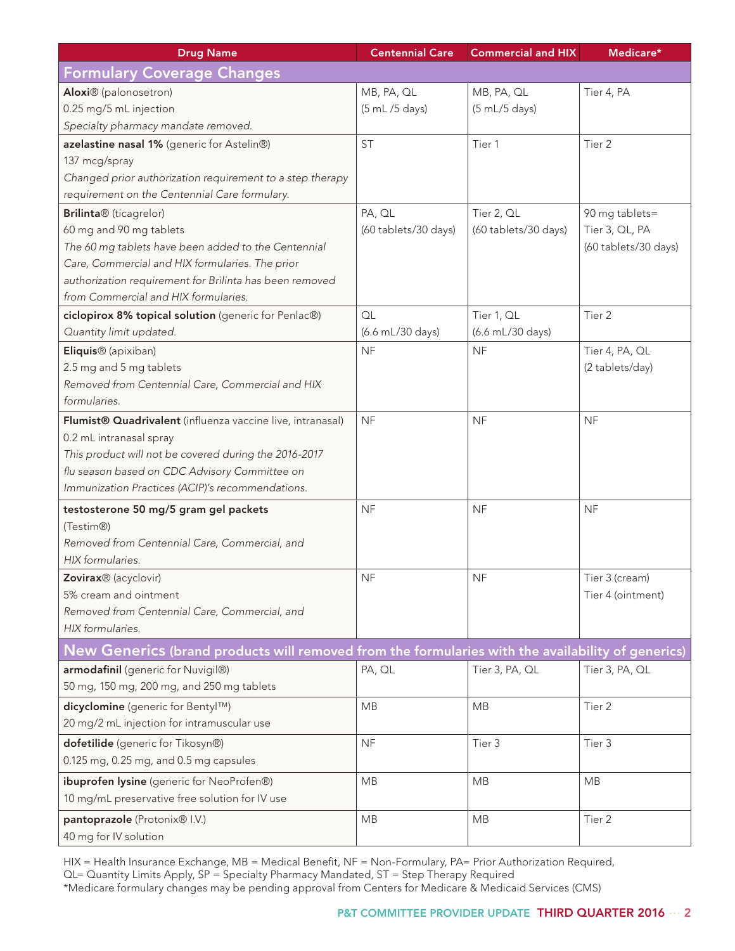| <b>Drug Name</b>                                                                                  | <b>Centennial Care</b> | <b>Commercial and HIX</b> | Medicare*            |
|---------------------------------------------------------------------------------------------------|------------------------|---------------------------|----------------------|
| <b>Formulary Coverage Changes</b>                                                                 |                        |                           |                      |
| Aloxi <sup>®</sup> (palonosetron)                                                                 | MB, PA, QL             | MB, PA, QL                | Tier 4, PA           |
| 0.25 mg/5 mL injection                                                                            | (5 mL/5 days)          | (5 mL/5 days)             |                      |
| Specialty pharmacy mandate removed.                                                               |                        |                           |                      |
| azelastine nasal 1% (generic for Astelin®)                                                        | <b>ST</b>              | Tier 1                    | Tier 2               |
| 137 mcg/spray                                                                                     |                        |                           |                      |
| Changed prior authorization requirement to a step therapy                                         |                        |                           |                      |
| requirement on the Centennial Care formulary.                                                     |                        |                           |                      |
| Brilinta® (ticagrelor)                                                                            | PA, QL                 | Tier 2, QL                | 90 mg tablets=       |
| 60 mg and 90 mg tablets                                                                           | (60 tablets/30 days)   | (60 tablets/30 days)      | Tier 3, QL, PA       |
| The 60 mg tablets have been added to the Centennial                                               |                        |                           | (60 tablets/30 days) |
| Care, Commercial and HIX formularies. The prior                                                   |                        |                           |                      |
| authorization requirement for Brilinta has been removed                                           |                        |                           |                      |
| from Commercial and HIX formularies.                                                              |                        |                           |                      |
| ciclopirox 8% topical solution (generic for Penlac®)                                              | OL                     | Tier 1, QL                | Tier 2               |
| Quantity limit updated.                                                                           | (6.6 mL/30 days)       | (6.6 mL/30 days)          |                      |
| Eliquis <sup>®</sup> (apixiban)                                                                   | <b>NF</b>              | <b>NF</b>                 | Tier 4, PA, QL       |
| 2.5 mg and 5 mg tablets                                                                           |                        |                           | (2 tablets/day)      |
| Removed from Centennial Care, Commercial and HIX                                                  |                        |                           |                      |
| formularies.                                                                                      |                        |                           |                      |
| Flumist <sup>®</sup> Quadrivalent (influenza vaccine live, intranasal)                            | <b>NF</b>              | <b>NF</b>                 | <b>NF</b>            |
| 0.2 mL intranasal spray                                                                           |                        |                           |                      |
| This product will not be covered during the 2016-2017                                             |                        |                           |                      |
| flu season based on CDC Advisory Committee on                                                     |                        |                           |                      |
| Immunization Practices (ACIP)'s recommendations.                                                  |                        |                           |                      |
| testosterone 50 mg/5 gram gel packets                                                             | <b>NF</b>              | <b>NF</b>                 | <b>NF</b>            |
| (Testim®)                                                                                         |                        |                           |                      |
| Removed from Centennial Care, Commercial, and                                                     |                        |                           |                      |
| HIX formularies.                                                                                  |                        |                           |                      |
| Zovirax <sup>®</sup> (acyclovir)                                                                  | <b>NF</b>              | <b>NF</b>                 | Tier 3 (cream)       |
| 5% cream and ointment                                                                             |                        |                           | Tier 4 (ointment)    |
| Removed from Centennial Care, Commercial, and                                                     |                        |                           |                      |
| HIX formularies.                                                                                  |                        |                           |                      |
| New Generics (brand products will removed from the formularies with the availability of generics) |                        |                           |                      |
| armodafinil (generic for Nuvigil®)                                                                | PA, QL                 | Tier 3, PA, QL            | Tier 3, PA, QL       |
| 50 mg, 150 mg, 200 mg, and 250 mg tablets                                                         |                        |                           |                      |
| dicyclomine (generic for Bentyl™)                                                                 | MB                     | <b>MB</b>                 | Tier 2               |
| 20 mg/2 mL injection for intramuscular use                                                        |                        |                           |                      |
| dofetilide (generic for Tikosyn®)                                                                 | <b>NF</b>              | Tier 3                    | Tier 3               |
| 0.125 mg, 0.25 mg, and 0.5 mg capsules                                                            |                        |                           |                      |
| ibuprofen lysine (generic for NeoProfen®)                                                         | MB                     | <b>MB</b>                 | MB                   |
| 10 mg/mL preservative free solution for IV use                                                    |                        |                           |                      |
| pantoprazole (Protonix® I.V.)                                                                     | MB                     | <b>MB</b>                 | Tier 2               |
| 40 mg for IV solution                                                                             |                        |                           |                      |

HIX = Health Insurance Exchange, MB = Medical Benefit, NF = Non-Formulary, PA= Prior Authorization Required, QL= Quantity Limits Apply, SP = Specialty Pharmacy Mandated, ST = Step Therapy Required \*Medicare formulary changes may be pending approval from Centers for Medicare & Medicaid Services (CMS)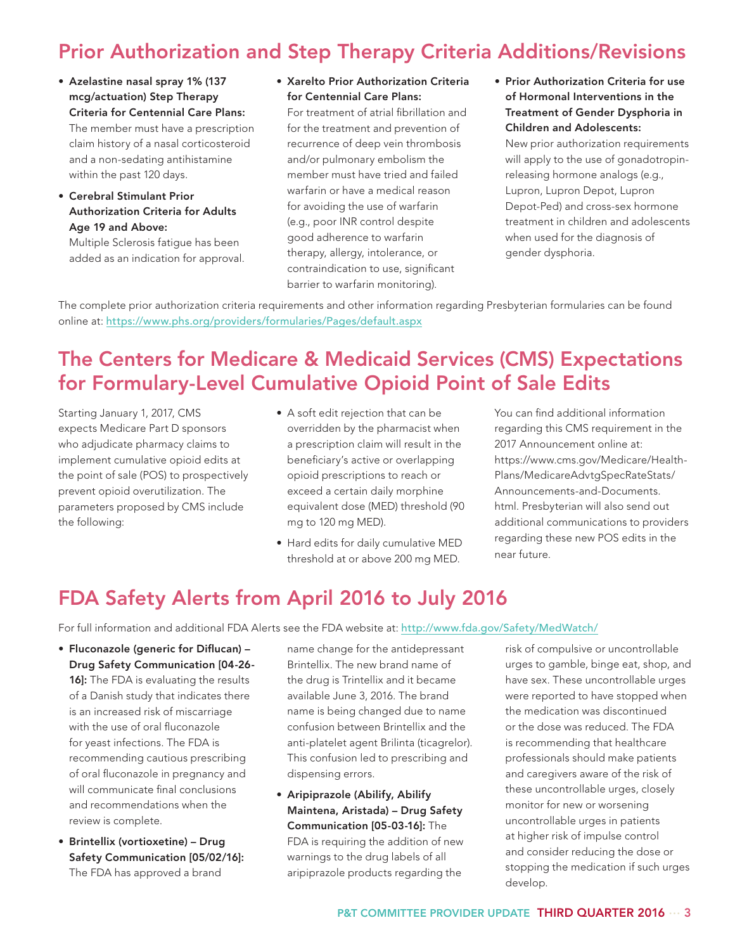## Prior Authorization and Step Therapy Criteria Additions/Revisions

- Azelastine nasal spray 1% (137 mcg/actuation) Step Therapy Criteria for Centennial Care Plans: The member must have a prescription claim history of a nasal corticosteroid and a non-sedating antihistamine within the past 120 days.
- Cerebral Stimulant Prior Authorization Criteria for Adults Age 19 and Above:

Multiple Sclerosis fatigue has been added as an indication for approval. • Xarelto Prior Authorization Criteria for Centennial Care Plans:

For treatment of atrial fibrillation and for the treatment and prevention of recurrence of deep vein thrombosis and/or pulmonary embolism the member must have tried and failed warfarin or have a medical reason for avoiding the use of warfarin (e.g., poor INR control despite good adherence to warfarin therapy, allergy, intolerance, or contraindication to use, significant barrier to warfarin monitoring).

• Prior Authorization Criteria for use of Hormonal Interventions in the Treatment of Gender Dysphoria in Children and Adolescents:

New prior authorization requirements will apply to the use of gonadotropinreleasing hormone analogs (e.g., Lupron, Lupron Depot, Lupron Depot-Ped) and cross-sex hormone treatment in children and adolescents when used for the diagnosis of gender dysphoria.

The complete prior authorization criteria requirements and other information regarding Presbyterian formularies can be found online at: <https://www.phs.org/providers/formularies/Pages/default.aspx>

#### The Centers for Medicare & Medicaid Services (CMS) Expectations for Formulary-Level Cumulative Opioid Point of Sale Edits

Starting January 1, 2017, CMS expects Medicare Part D sponsors who adjudicate pharmacy claims to implement cumulative opioid edits at the point of sale (POS) to prospectively prevent opioid overutilization. The parameters proposed by CMS include the following:

- A soft edit rejection that can be overridden by the pharmacist when a prescription claim will result in the beneficiary's active or overlapping opioid prescriptions to reach or exceed a certain daily morphine equivalent dose (MED) threshold (90 mg to 120 mg MED).
- Hard edits for daily cumulative MED threshold at or above 200 mg MED.

You can find additional information regarding this CMS requirement in the 2017 Announcement online at: https://www.cms.gov/Medicare/Health-Plans/MedicareAdvtgSpecRateStats/ Announcements-and-Documents. html. Presbyterian will also send out additional communications to providers regarding these new POS edits in the near future.

#### FDA Safety Alerts from April 2016 to July 2016

For full information and additional FDA Alerts see the FDA website at: <http://www.fda.gov/Safety/MedWatch/>

- Fluconazole (generic for Diflucan) Drug Safety Communication [04-26- 16]: The FDA is evaluating the results of a Danish study that indicates there is an increased risk of miscarriage with the use of oral fluconazole for yeast infections. The FDA is recommending cautious prescribing of oral fluconazole in pregnancy and will communicate final conclusions and recommendations when the review is complete.
- Brintellix (vortioxetine) Drug Safety Communication [05/02/16]: The FDA has approved a brand

name change for the antidepressant Brintellix. The new brand name of the drug is Trintellix and it became available June 3, 2016. The brand name is being changed due to name confusion between Brintellix and the anti-platelet agent Brilinta (ticagrelor). This confusion led to prescribing and dispensing errors.

• Aripiprazole (Abilify, Abilify Maintena, Aristada) – Drug Safety Communication [05-03-16]: The FDA is requiring the addition of new warnings to the drug labels of all aripiprazole products regarding the

risk of compulsive or uncontrollable urges to gamble, binge eat, shop, and have sex. These uncontrollable urges were reported to have stopped when the medication was discontinued or the dose was reduced. The FDA is recommending that healthcare professionals should make patients and caregivers aware of the risk of these uncontrollable urges, closely monitor for new or worsening uncontrollable urges in patients at higher risk of impulse control and consider reducing the dose or stopping the medication if such urges develop.